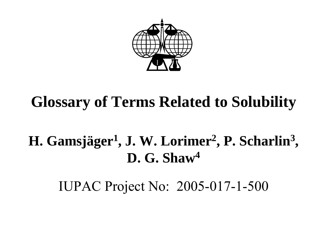

# **Glossary of Terms Related to Solubility**

# **H. Gamsjäger 1, J. W. Lorimer 2, P. Scharlin 3 , D. G. Shaw4**

IUPAC Project No: 2005-017-1-500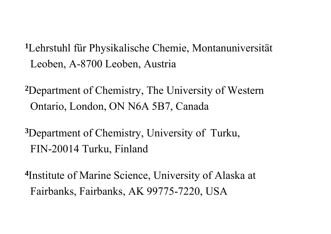- **<sup>1</sup>**Lehrstuhl für Physikalische Chemie, Montanuniversität Leoben, A-8700 Leoben, Austria
- **<sup>2</sup>**Department of Chemistry, The University of Western Ontario, London, ON N6A 5B7, Canada
- **<sup>3</sup>**Department of Chemistry, University of Turku, FIN-20014 Turku, Finland
- **<sup>4</sup>**Institute of Marine Science, University of Alaska at Fairbanks, Fairbanks, AK 99775-7220, USA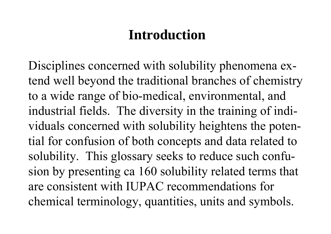# **Introduction**

Disciplines concerned with solubility phenomena extend well beyond the traditional branches of chemistry to a wide range of bio-medical, environmental, and industrial fields. The diversity in the training of individuals concerned with solubility heightens the potential for confusion of both concepts and data related to solubility. This glossary seeks to reduce such confusion by presenting ca 160 solubility related terms that are consistent with IUPAC recommendations for chemical terminology, quantities, units and symbols.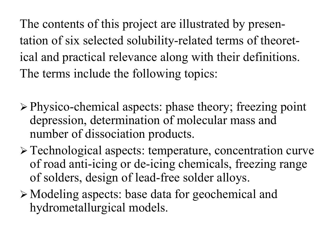The contents of this project are illustrated by presentation of six selected solubility-related terms of theoretical and practical relevance along with their definitions. The terms include the following topics:

- ¾ Physico-chemical aspects: phase theory; freezing point depression, determination of molecular mass and number of dissociation products.
- ¾ Technological aspects: temperature, concentration curve of road anti-icing or de-icing chemicals, freezing range of solders, design of lead-free solder alloys.
- <sup>¾</sup>Modeling aspects: base data for geochemical and hydrometallurgical models.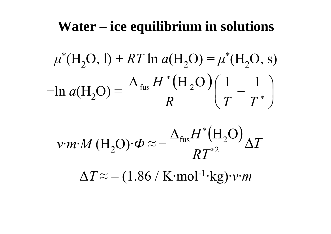# **Water – ice equilibrium in solutions**

$$
\mu^*(H_2O, 1) + RT \ln a(H_2O) = \mu^*(H_2O, s)
$$
  
-ln  $a(H_2O) = \frac{\Delta_{fus} H^*(H_2O)}{R} \left(\frac{1}{T} - \frac{1}{T^*}\right)$ 

$$
v \cdot m \cdot M \left( \mathrm{H}_2 \mathrm{O} \right) \cdot \varPhi \approx -\frac{\Delta_{\mathrm{fus}} H^* \left( \mathrm{H}_2 \mathrm{O} \right)}{RT^{*2}} \Delta T
$$

 $\Delta T$   $\approx$ – (1.86 / K·mol-1·kg)· *ν*·*m*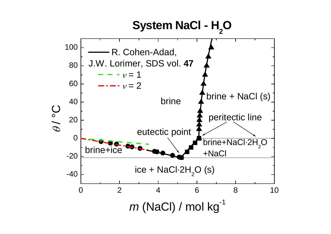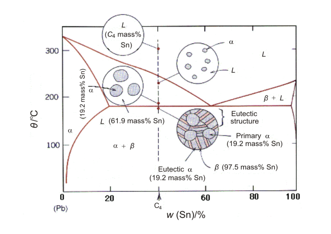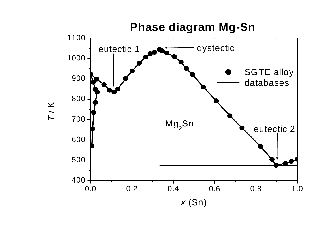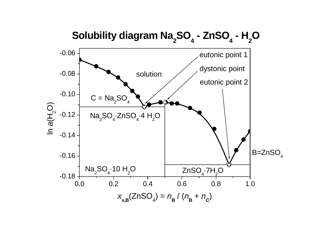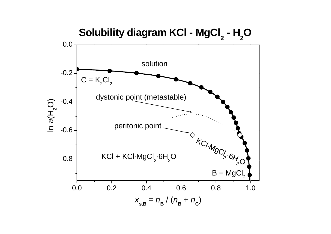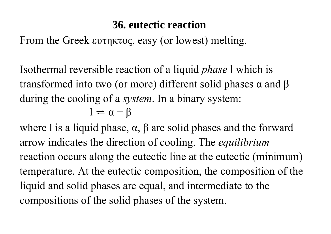### **36. eutectic reaction**

From the Greek ευτηκτος, easy (or lowest) melting.

Isothermal reversible reaction of a liquid *phase* l which is transformed into two (or more) different solid phases  $\alpha$  and  $\beta$ during the cooling of a *system*. In a binary system:  $l = \alpha + \beta$ 

where l is a liquid phase,  $\alpha$ ,  $\beta$  are solid phases and the forward arrow indicates the direction of cooling. The *equilibrium* reaction occurs along the eutectic line at the eutectic (minimum) temperature. At the eutectic composition, the composition of the liquid and solid phases are equal, and intermediate to the compositions of the solid phases of the system.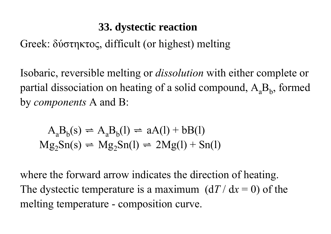## **33. dystectic reaction**

Greek: δύστηκτος, difficult (or highest) melting

Isobaric, reversible melting or *dissolution* with either complete or partial dissociation on heating of a solid compound,  $A<sub>a</sub>B<sub>b</sub>$ , formed by *components* A and B:

 $A_{a}B_{b}(s) \rightleftharpoons A_{a}B_{b}(l) \rightleftharpoons aA(l) + bB(l)$  $Mg_2Sn(s) \rightleftharpoons Mg_2Sn(l) \rightleftharpoons 2Mg(l) + Sn(l)$ 

where the forward arrow indicates the direction of heating. The dystectic temperature is a maximum  $(dT/dx = 0)$  of the melting temperature - composition curve.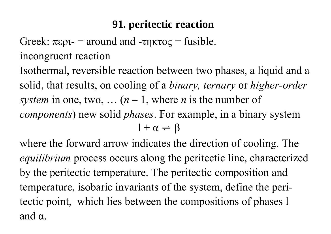### **91. peritectic reaction**

Greek:  $\pi \epsilon \rho_1$  = around and -τηκτος = fusible.

incongruent reaction

Isothermal, reversible reaction between two phases, a liquid and <sup>a</sup> solid, that results, on cooling of a *binary, ternary* or *higher-order system* in one, two, ...  $(n-1)$ , where *n* is the number of *components*) new solid *phases*. For example, in a binary system  $1 + \alpha \rightleftharpoons \beta$ 

where the forward arrow indicates the direction of cooling. The *equilibrium* process occurs along the peritectic line, characterized by the peritectic temperature. The peritectic composition and temperature, isobaric invariants of the system, define the peritectic point, which lies between the compositions of phases l and  $\alpha$ .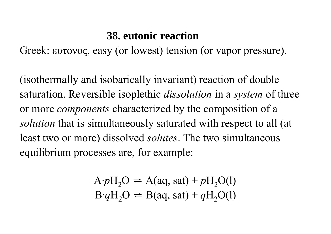#### **38. eutonic reaction**

Greek: ευτονος, easy (or lowest) tension (or vapor pressure).

(isothermally and isobarically invariant) reaction of double saturation. Reversible isoplethic *dissolution* in a *system* of three or more *components* characterized by the composition of a *solution* that is simultaneously saturated with respect to all (at least two or more) dissolved *solutes*. The two simultaneous equilibrium processes are, for example:

$$
A \cdot pH_2O \rightleftharpoons A(aq, sat) + pH_2O(l)
$$
  
 
$$
B \cdot qH_2O \rightleftharpoons B(aq, sat) + qH_2O(l)
$$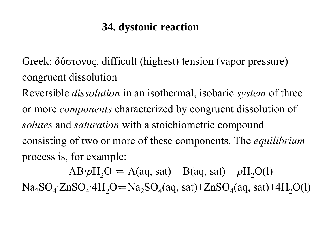### **34. dystonic reaction**

Greek: δύστονος, difficult (highest) tension (vapor pressure) congruent dissolution

Reversible *dissolution* in an isothermal, isobaric *system* of three or more *components* characterized by congruent dissolution of *solutes* and *saturation* with a stoichiometric compound consisting of two or more of these components. The *equilibrium* process is, for example:

 $AB\cdot pH_2O \rightleftharpoons A(aq, sat) + B(aq, sat) + pH_2O(1)$  $Na_2SO_4$ ·ZnSO<sub>4</sub>·4H<sub>2</sub>O  $\rightleftharpoons Na_2SO_4(aq, sat)$ +ZnSO<sub>4</sub>(aq, sat)+4H<sub>2</sub>O(l)